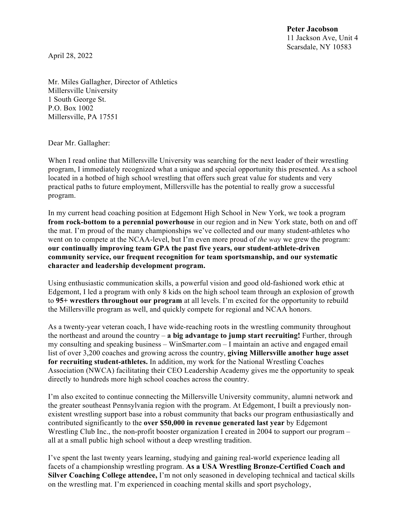**Peter Jacobson** 11 Jackson Ave, Unit 4 Scarsdale, NY 10583

April 28, 2022

Mr. Miles Gallagher, Director of Athletics Millersville University 1 South George St. P.O. Box 1002 Millersville, PA 17551

Dear Mr. Gallagher:

When I read online that Millersville University was searching for the next leader of their wrestling program, I immediately recognized what a unique and special opportunity this presented. As a school located in a hotbed of high school wrestling that offers such great value for students and very practical paths to future employment, Millersville has the potential to really grow a successful program.

In my current head coaching position at Edgemont High School in New York, we took a program **from rock-bottom to a perennial powerhouse** in our region and in New York state, both on and off the mat. I'm proud of the many championships we've collected and our many student-athletes who went on to compete at the NCAA-level, but I'm even more proud of *the way* we grew the program: **our continually improving team GPA the past five years, our student-athlete-driven community service, our frequent recognition for team sportsmanship, and our systematic character and leadership development program.**

Using enthusiastic communication skills, a powerful vision and good old-fashioned work ethic at Edgemont, I led a program with only 8 kids on the high school team through an explosion of growth to **95+ wrestlers throughout our program** at all levels. I'm excited for the opportunity to rebuild the Millersville program as well, and quickly compete for regional and NCAA honors.

As a twenty-year veteran coach, I have wide-reaching roots in the wrestling community throughout the northeast and around the country – **a big advantage to jump start recruiting!** Further, through my consulting and speaking business – WinSmarter.com – I maintain an active and engaged email list of over 3,200 coaches and growing across the country, **giving Millersville another huge asset for recruiting student-athletes.** In addition, my work for the National Wrestling Coaches Association (NWCA) facilitating their CEO Leadership Academy gives me the opportunity to speak directly to hundreds more high school coaches across the country.

I'm also excited to continue connecting the Millersville University community, alumni network and the greater southeast Pennsylvania region with the program. At Edgemont, I built a previously nonexistent wrestling support base into a robust community that backs our program enthusiastically and contributed significantly to the **over \$50,000 in revenue generated last year** by Edgemont Wrestling Club Inc., the non-profit booster organization I created in 2004 to support our program – all at a small public high school without a deep wrestling tradition.

I've spent the last twenty years learning, studying and gaining real-world experience leading all facets of a championship wrestling program. **As a USA Wrestling Bronze-Certified Coach and Silver Coaching College attendee,** I'm not only seasoned in developing technical and tactical skills on the wrestling mat. I'm experienced in coaching mental skills and sport psychology,